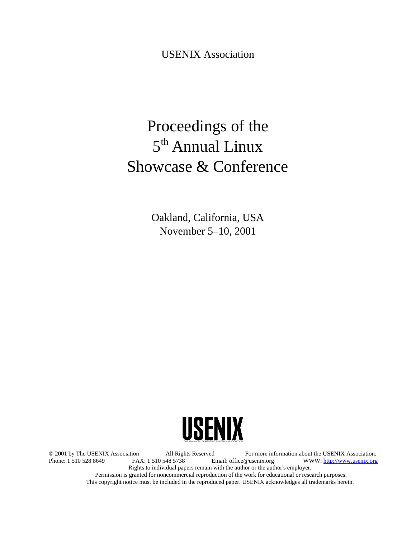USENIX Association

# Proceedings of the 5<sup>th</sup> Annual Linux Showcase & Conference

Oakland, California, USA November 5–10, 2001



© 2001 by The USENIX Association All Rights Reserved For more information about the USENIX Association: WWW: http://www.usenix.org Rights to individual papers remain with the author or the author's employer. Permission is granted for noncommercial reproduction of the work for educational or research purposes. This copyright notice must be included in the reproduced paper. USENIX acknowledges all trademarks herein.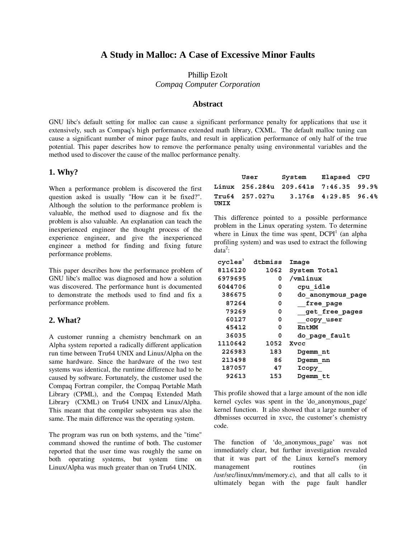# **A Study in Malloc: A Case of Excessive Minor Faults**

Phillip Ezolt *Compaq Computer Corporation*

#### **Abstract**

GNU libc's default setting for malloc can cause a significant performance penalty for applications that use it extensively, such as Compaq's high performance extended math library, CXML. The default malloc tuning can cause a significant number of minor page faults, and result in application performance of only half of the true potential. This paper describes how to remove the performance penalty using environmental variables and the method used to discover the cause of the malloc performance penalty.

## **1. Why?**

When a performance problem is discovered the first question asked is usually "How can it be fixed?". Although the solution to the performance problem is valuable, the method used to diagnose and fix the problem is also valuable. An explanation can teach the inexperienced engineer the thought process of the experience engineer, and give the inexperienced engineer a method for finding and fixing future performance problems.

This paper describes how the performance problem of GNU libc's malloc was diagnosed and how a solution was discovered. The performance hunt is documented to demonstrate the methods used to find and fix a performance problem.

#### **2. What?**

A customer running a chemistry benchmark on an Alpha system reported a radically different application run time between Tru64 UNIX and Linux/Alpha on the same hardware. Since the hardware of the two test systems was identical, the runtime difference had to be caused by software. Fortunately, the customer used the Compaq Fortran compiler, the Compaq Portable Math Library (CPML), and the Compaq Extended Math Library (CXML) on Tru64 UNIX and Linux/Alpha. This meant that the compiler subsystem was also the same. The main difference was the operating system.

The program was run on both systems, and the "time" command showed the runtime of both. The customer reported that the user time was roughly the same on both operating systems, but system time on Linux/Alpha was much greater than on Tru64 UNIX.

| User | System Elapsed CPU<br>Linux 256.284u 209.641s 7:46.35 99.9%<br>Tru64 257.027u - 3.176s 4:29.85 96.4% |
|------|------------------------------------------------------------------------------------------------------|

This difference pointed to a possible performance problem in the Linux operating system. To determine where in Linux the time was spent,  $DCPI<sup>1</sup>$  (an alpha profiling system) and was used to extract the following  $data<sup>2</sup>$ :

| cycles' | dtbmiss | Image             |
|---------|---------|-------------------|
| 8116120 | 1062    | System Total      |
| 6979695 | 0       | /vmlinux          |
| 6044706 | 0       | cpu idle          |
| 386675  | 0       | do anonymous page |
| 87264   | 0       | free page         |
| 79269   | 0       | get free pages    |
| 60127   | 0       | copy user         |
| 45412   | 0       | EntMM             |
| 36035   | 0       | do page fault     |
| 1110642 | 1052    | Xvcc              |
| 226983  | 183     | Dgemm nt          |
| 213498  | 86      | Dgemm nn          |
| 187057  | 47      | Icopy             |
| 92613   | 153     | Dqemm tt          |

This profile showed that a large amount of the non idle kernel cycles was spent in the 'do\_anonymous\_page' kernel function. It also showed that a large number of dtbmisses occurred in xvcc, the customer's chemistry code.

The function of 'do anonymous page' was not immediately clear, but further investigation revealed that it was part of the Linux kernel's memory management routines (in /usr/src/linux/mm/memory.c), and that all calls to it ultimately began with the page fault handler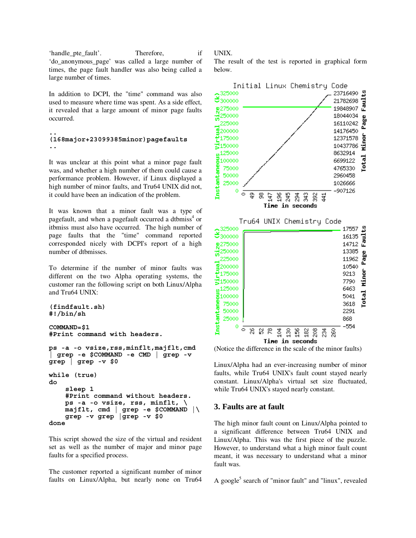'handle pte fault'. Therefore, if 'do\_anonymous\_page' was called a large number of times, the page fault handler was also being called a large number of times.

In addition to DCPI, the "time" command was also used to measure where time was spent. As a side effect, it revealed that a large amount of minor page faults occurred.

#### **.. (168major+23099385minor)pagefaults ..**

It was unclear at this point what a minor page fault was, and whether a high number of them could cause a performance problem. However, if Linux displayed a high number of minor faults, and Tru64 UNIX did not, it could have been an indication of the problem.

It was known that a minor fault was a type of pagefault, and when a pagefault occurred a dtbmiss<sup>4</sup> or itbmiss must also have occurred. The high number of page faults that the "time" command reported corresponded nicely with DCPI's report of a high number of dtbmisses.

To determine if the number of minor faults was different on the two Alpha operating systems, the customer ran the following script on both Linux/Alpha and Tru64 UNIX:

```
(findfault.sh) 
#!/bin/sh
```

```
COMMAND=$1 
#Print command with headers.
```

```
ps -a -o vsize,rss,minflt,majflt,cmd 
 | grep -e $COMMAND -e CMD | grep -v 
grep | grep -v $0 

while (true) 
do 
     sleep 1 
     #Print command without headers. 
     ps -a -o vsize, rss, minflt, \ 
     majflt, cmd | grep -e $COMMAND |\ 
     grep -v grep |grep -v $0
done
```
This script showed the size of the virtual and resident set as well as the number of major and minor page faults for a specified process.

The customer reported a significant number of minor faults on Linux/Alpha, but nearly none on Tru64 UNIX.

The result of the test is reported in graphical form below.



(Notice the difference in the scale of the minor faults)

Linux/Alpha had an ever-increasing number of minor faults, while Tru64 UNIX's fault count stayed nearly constant. Linux/Alpha's virtual set size fluctuated, while Tru64 UNIX's stayed nearly constant.

## **3. Faults are at fault**

The high minor fault count on Linux/Alpha pointed to a significant difference between Tru64 UNIX and Linux/Alpha. This was the first piece of the puzzle. However, to understand what a high minor fault count meant, it was necessary to understand what a minor fault was.

A google<sup>5</sup> search of "minor fault" and "linux", revealed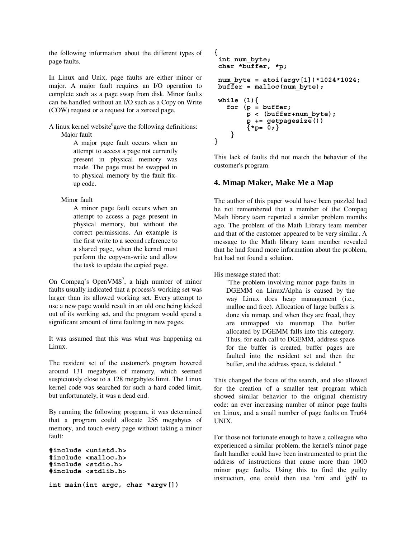the following information about the different types of page faults.

In Linux and Unix, page faults are either minor or major. A major fault requires an I/O operation to complete such as a page swap from disk. Minor faults can be handled without an I/O such as a Copy on Write (COW) request or a request for a zeroed page.

A linux kernel website  $^6$ gave the following definitions: Major fault

> A major page fault occurs when an attempt to access a page not currently present in physical memory was made. The page must be swapped in to physical memory by the fault fixup code.

#### Minor fault

A minor page fault occurs when an attempt to access a page present in physical memory, but without the correct permissions. An example is the first write to a second reference to a shared page, when the kernel must perform the copy-on-write and allow the task to update the copied page.

On Compaq's OpenVMS<sup>7</sup>, a high number of minor faults usually indicated that a process's working set was larger than its allowed working set. Every attempt to use a new page would result in an old one being kicked out of its working set, and the program would spend a significant amount of time faulting in new pages.

It was assumed that this was what was happening on Linux.

The resident set of the customer's program hovered around 131 megabytes of memory, which seemed suspiciously close to a 128 megabytes limit. The Linux kernel code was searched for such a hard coded limit, but unfortunately, it was a dead end.

By running the following program, it was determined that a program could allocate 256 megabytes of memory, and touch every page without taking a minor fault:

```
#include <unistd.h> 
#include <malloc.h> 
#include <stdio.h> 
#include <stdlib.h> 
int main(int argc, char *argv[])
```

```
{ 
  int num_byte; 
  char *buffer, *p; 
  num_byte = atoi(argv[1])*1024*1024; 
 \text{buf} = malloc(num byte);
  while (1){ 
    for (p = buffer; 
         p < (buffer+num_byte); 
          p += getpagesize()) 
         \{ *_{p=0} \} } 
}
```
This lack of faults did not match the behavior of the customer's program.

# **4. Mmap Maker, Make Me a Map**

The author of this paper would have been puzzled had he not remembered that a member of the Compaq Math library team reported a similar problem months ago. The problem of the Math Library team member and that of the customer appeared to be very similar. A message to the Math library team member revealed that he had found more information about the problem, but had not found a solution.

His message stated that:

"The problem involving minor page faults in DGEMM on Linux/Alpha is caused by the way Linux does heap management (i.e., malloc and free). Allocation of large buffers is done via mmap, and when they are freed, they are unmapped via munmap. The buffer allocated by DGEMM falls into this category. Thus, for each call to DGEMM, address space for the buffer is created, buffer pages are faulted into the resident set and then the buffer, and the address space, is deleted. "

This changed the focus of the search, and also allowed for the creation of a smaller test program which showed similar behavior to the original chemistry code: an ever increasing number of minor page faults on Linux, and a small number of page faults on Tru64 UNIX.

For those not fortunate enough to have a colleague who experienced a similar problem, the kernel's minor page fault handler could have been instrumented to print the address of instructions that cause more than 1000 minor page faults. Using this to find the guilty instruction, one could then use 'nm' and 'gdb' to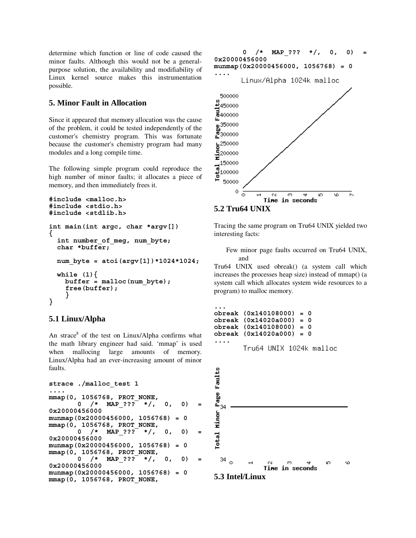determine which function or line of code caused the minor faults. Although this would not be a generalpurpose solution, the availability and modifiability of Linux kernel source makes this instrumentation possible.

# **5. Minor Fault in Allocation**

Since it appeared that memory allocation was the cause of the problem, it could be tested independently of the customer's chemistry program. This was fortunate because the customer's chemistry program had many modules and a long compile time.

The following simple program could reproduce the high number of minor faults; it allocates a piece of memory, and then immediately frees it.

```
#include <malloc.h> 
#include <stdio.h> 
#include <stdlib.h> 
int main(int argc, char *argv[]) 
{ 
   int number_of_meg, num_byte; 
   char *buffer; 
   num_byte = atoi(argv[1])*1024*1024; 
   while (1){ 
     buffer = malloc(num_byte); 
     free(buffer); 
     } 
}
```
# **5.1 Linux/Alpha**

An strace<sup>8</sup> of the test on Linux/Alpha confirms what the math library engineer had said. 'mmap' is used when mallocing large amounts of memory. Linux/Alpha had an ever-increasing amount of minor faults.

```
strace ./malloc_test 1
```

```
.... 
mmap(0, 1056768, PROT_NONE, 
       0 /* MAP ??? */, 0, 0)
0x20000456000 
munmap(0x20000456000, 1056768) = 0 
mmap(0, 1056768, PROT_NONE, 
              MAP ??? */, 0, 0)
0x20000456000 
munmap(0x20000456000, 1056768) = 0 
mmap(0, 1056768, PROT_NONE, 
          0 /* MAP_??? */, 0, 0) = 
0x20000456000 
munmap(0x20000456000, 1056768) = 0 
mmap(0, 1056768, PROT_NONE,
```


Tracing the same program on Tru64 UNIX yielded two interesting facts:

Few minor page faults occurred on Tru64 UNIX, and

Tru64 UNIX used obreak() (a system call which increases the processes heap size) instead of mmap() (a system call which allocates system wide resources to a program) to malloc memory.

```
... 
obreak (0x140108000) = 0 
obreak (0x14020a000) = 0 
obreak (0x140108000) = 0 
obreak (0x14020a000) = 0 
....
       Tru64 UNIX 1024k malloc
```
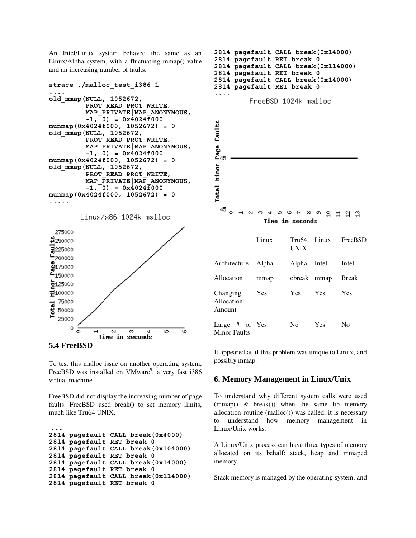An Intel/Linux system behaved the same as an Linux/Alpha system, with a fluctuating mmap() value and an increasing number of faults.

```
strace ./malloc_test_i386 1 
.... 
old_mmap(NULL, 1052672, 
         PROT_READ|PROT_WRITE,
          MAP_PRIVATE|MAP_ANONYMOUS, 
         -1, 0) = 0 \times 4024 \overline{f}000munmap(0x4024f000, 1052672) = 0 
old_mmap(NULL, 1052672, 
          PROT_READ|PROT_WRITE, 
 MAP_PRIVATE|MAP_ANONYMOUS, 
-1, 0) = 0x4024E000munmap(0x4024f000, 1052672) = 0 
old_mmap(NULL, 1052672, 
          PROT_READ|PROT_WRITE, 
          MAP_PRIVATE|MAP_ANONYMOUS, 
          -1, 0) = 0x4024f000 
munmap(0x4024f000, 1052672) = 0 
.....
```






To test this malloc issue on another operating system, FreeBSD was installed on VMware<sup>9</sup>, a very fast i386 virtual machine.

FreeBSD did not display the increasing number of page faults. FreeBSD used break() to set memory limits, much like Tru64 UNIX.

```
... 
2814 pagefault CALL break(0x4000) 
2814 pagefault RET break 0 
2814 pagefault CALL break(0x104000) 
2814 pagefault RET break 0 
2814 pagefault CALL break(0x14000) 
2814 pagefault RET break 0 
2814 pagefault CALL break(0x114000) 
2814 pagefault RET break 0
```


It appeared as if this problem was unique to Linux, and possibly mmap.

## **6. Memory Management in Linux/Unix**

To understand why different system calls were used (mmap() & break()) when the same lib memory allocation routine (malloc()) was called, it is necessary to understand how memory management in Linux/Unix works.

A Linux/Unix process can have three types of memory allocated on its behalf: stack, heap and mmaped memory.

Stack memory is managed by the operating system, and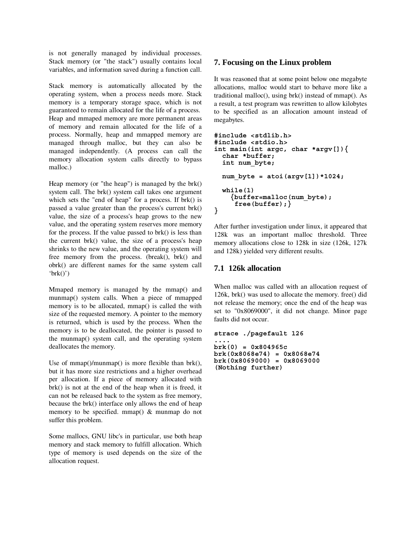is not generally managed by individual processes. Stack memory (or "the stack") usually contains local variables, and information saved during a function call.

Stack memory is automatically allocated by the operating system, when a process needs more. Stack memory is a temporary storage space, which is not guaranteed to remain allocated for the life of a process. Heap and mmaped memory are more permanent areas of memory and remain allocated for the life of a process. Normally, heap and mmapped memory are managed through malloc, but they can also be managed independently. (A process can call the memory allocation system calls directly to bypass malloc.)

Heap memory (or "the heap") is managed by the brk() system call. The brk() system call takes one argument which sets the "end of heap" for a process. If brk() is passed a value greater than the process's current brk() value, the size of a process's heap grows to the new value, and the operating system reserves more memory for the process. If the value passed to brk() is less than the current brk() value, the size of a process's heap shrinks to the new value, and the operating system will free memory from the process. (break(), brk() and obrk() are different names for the same system call  $`brk()')$ 

Mmaped memory is managed by the mmap() and munmap() system calls. When a piece of mmapped memory is to be allocated, mmap() is called the with size of the requested memory. A pointer to the memory is returned, which is used by the process. When the memory is to be deallocated, the pointer is passed to the munmap() system call, and the operating system deallocates the memory.

Use of mmap()/munmap() is more flexible than brk(), but it has more size restrictions and a higher overhead per allocation. If a piece of memory allocated with brk() is not at the end of the heap when it is freed, it can not be released back to the system as free memory, because the brk() interface only allows the end of heap memory to be specified. mmap() & munmap do not suffer this problem.

Some mallocs, GNU libc's in particular, use both heap memory and stack memory to fulfill allocation. Which type of memory is used depends on the size of the allocation request.

# **7. Focusing on the Linux problem**

It was reasoned that at some point below one megabyte allocations, malloc would start to behave more like a traditional malloc(), using brk() instead of mmap(). As a result, a test program was rewritten to allow kilobytes to be specified as an allocation amount instead of megabytes.

```
#include <stdlib.h> 
#include <stdio.h> 
int main(int argc, char *argv[]){ 
   char *buffer; 
   int num_byte; 
   num_byte = atoi(argv[1])*1024; 
   while(1) 
     {buffer=malloc(num_byte); 
      free(buffer);} 
}
```
After further investigation under linux, it appeared that 128k was an important malloc threshold. Three memory allocations close to 128k in size (126k, 127k and 128k) yielded very different results.

# **7.1 126k allocation**

When malloc was called with an allocation request of 126k, brk() was used to allocate the memory. free() did not release the memory; once the end of the heap was set to "0x8069000", it did not change. Minor page faults did not occur.

```
strace ./pagefault 126
```

```
.... 
brk(0) = 0x804965c 
brk(0x8068e74) = 0x8068e74 
brk(0x8069000) = 0x8069000 
(Nothing further)
```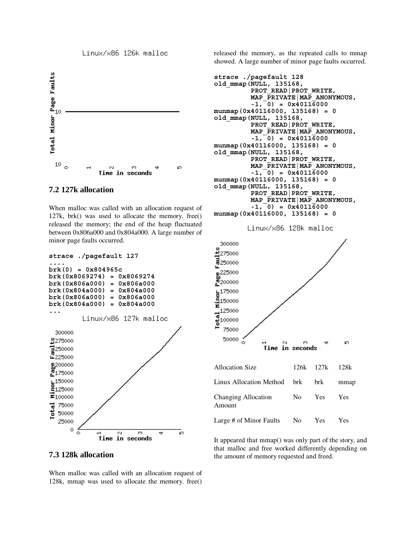

Linux/x86 126k malloc



When malloc was called with an allocation request of 127k, brk() was used to allocate the memory. free() released the memory; the end of the heap fluctuated between 0x806a000 and 0x804a000. A large number of minor page faults occurred.

```
strace ./pagefault 127 
.... 
brk(0) = 0x804965c 
brk(0x8069274) = 0x8069274 
brk(0x806a000) = 0x806a000 
brk(0x804a000) = 0x804a000 
brk(0x806a000) = 0x806a000
```


#### **7.3 128k allocation**

When malloc was called with an allocation request of 128k, mmap was used to allocate the memory. free()

released the memory, as the repeated calls to mmap showed. A large number of minor page faults occurred.

```
strace ./pagefault 128 
old_mmap(NULL, 135168, 
          PROT_READ|PROT_WRITE, 
          MAP_PRIVATE|MAP_ANONYMOUS, 
          -1, 0) = 0 \times 40116000munmap(0x40116000, 135168) = 0 
old_mmap(NULL, 135168, 
EXAMPLE PROT_READ|PROT_WRITE,
          MAP_PRIVATE|MAP_ANONYMOUS, 
          -1, 0) = 0 \times 40116000munmap(0x40116000, 135168) = 0 
old_mmap(NULL, 135168, 
          PROT_READ|PROT_WRITE, 
          MAP_PRIVATE|MAP_ANONYMOUS, 
          -1, 0) = 0 \times 40116000munmap(0x40116000, 135168) = 0 
old_mmap(NULL, 135168, 
EXECUTE: PROT_READ|PROT_WRITE,
          MAP_PRIVATE|MAP_ANONYMOUS, 
          -1, 0) = 0 \times 40116000munmap(0x40116000, 135168) = 0
```


It appeared that mmap() was only part of the story, and that malloc and free worked differently depending on the amount of memory requested and freed.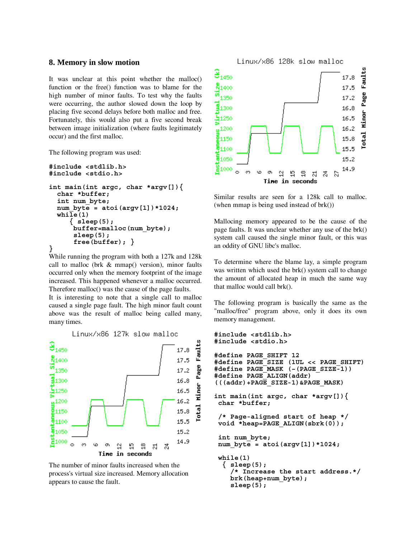#### **8. Memory in slow motion**

It was unclear at this point whether the malloc() function or the free() function was to blame for the high number of minor faults. To test why the faults were occurring, the author slowed down the loop by placing five second delays before both malloc and free. Fortunately, this would also put a five second break between image initialization (where faults legitimately occur) and the first malloc.

The following program was used:

```
#include <stdlib.h> 
#include <stdio.h> 
int main(int argc, char *argv[]){ 
   char *buffer; 
   int num_byte; 
   num_byte = atoi(argv[1])*1024; 
   while(1) 
       { sleep(5); 
       buffer=malloc(num_byte); 
       sleep(5); 
        free(buffer); } 
}
```
While running the program with both a 127k and 128k call to malloc (brk & mmap() version), minor faults occurred only when the memory footprint of the image increased. This happened whenever a malloc occurred. Therefore malloc() was the cause of the page faults.

It is interesting to note that a single call to malloc caused a single page fault. The high minor fault count above was the result of malloc being called many, many times.



The number of minor faults increased when the process's virtual size increased. Memory allocation appears to cause the fault.



Similar results are seen for a 128k call to malloc. (when mmap is being used instead of brk())

Mallocing memory appeared to be the cause of the page faults. It was unclear whether any use of the brk() system call caused the single minor fault, or this was an oddity of GNU libc's malloc.

To determine where the blame lay, a simple program was written which used the brk() system call to change the amount of allocated heap in much the same way that malloc would call brk().

The following program is basically the same as the "malloc/free" program above, only it does its own memory management.

```
#include <stdlib.h> 
#include <stdio.h> 
#define PAGE_SHIFT 12 
#define PAGE_SIZE (1UL << PAGE_SHIFT) 
#define PAGE_MASK (~(PAGE_SIZE-1)) 
#define PAGE_ALIGN(addr) 
(((addr)+PAGE_SIZE-1)&PAGE_MASK) 
int main(int argc, char *argv[]){ 
  char *buffer; 
  /* Page-aligned start of heap */ 
  void *heap=PAGE_ALIGN(sbrk(0)); 
  int num_byte; 
  num_byte = atoi(argv[1])*1024; 
  while(1) 
   { sleep(5); 
     /* Increase the start address.*/ 
     brk(heap+num_byte); 
     sleep(5);
```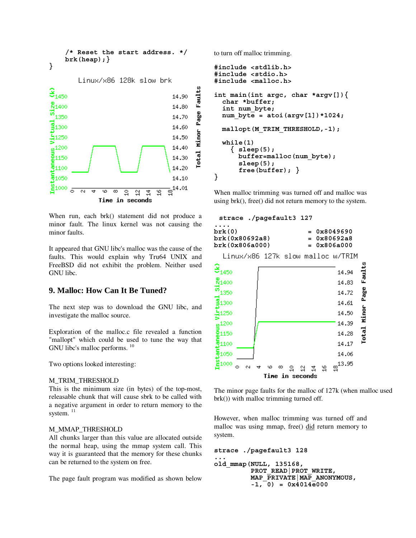

When run, each brk() statement did not produce a minor fault. The linux kernel was not causing the minor faults.

It appeared that GNU libc's malloc was the cause of the faults. This would explain why Tru64 UNIX and FreeBSD did not exhibit the problem. Neither used GNU libc.

## **9. Malloc: How Can It Be Tuned?**

The next step was to download the GNU libc, and investigate the malloc source.

Exploration of the malloc.c file revealed a function "mallopt" which could be used to tune the way that GNU libc's malloc performs. <sup>10</sup>

Two options looked interesting:

#### M\_TRIM\_THRESHOLD

This is the minimum size (in bytes) of the top-most, releasable chunk that will cause sbrk to be called with a negative argument in order to return memory to the system.  $^{11}$ 

#### M\_MMAP\_THRESHOLD

All chunks larger than this value are allocated outside the normal heap, using the mmap system call. This way it is guaranteed that the memory for these chunks can be returned to the system on free.

The page fault program was modified as shown below

to turn off malloc trimming.

```
#include <stdlib.h> 
#include <stdio.h> 
#include <malloc.h> 
int main(int argc, char *argv[]){ 
   char *buffer; 
   int num_byte; 
   num_byte = atoi(argv[1])*1024; 
   mallopt(M_TRIM_THRESHOLD,-1); 
   while(1) 
     { sleep(5); 
       buffer=malloc(num_byte); 
       sleep(5); 
       free(buffer); } 
}
```
When malloc trimming was turned off and malloc was using brk(), free() did not return memory to the system.



The minor page faults for the malloc of 127k (when malloc used brk()) with malloc trimming turned off.

However, when malloc trimming was turned off and malloc was using mmap, free() did return memory to system.

```
strace ./pagefault3 128 
... 
old_mmap(NULL, 135168, 
           PROT_READ|PROT_WRITE, 
           MAP_PRIVATE|MAP_ANONYMOUS, 
          -1, 0) = 0x4014e^{000}
```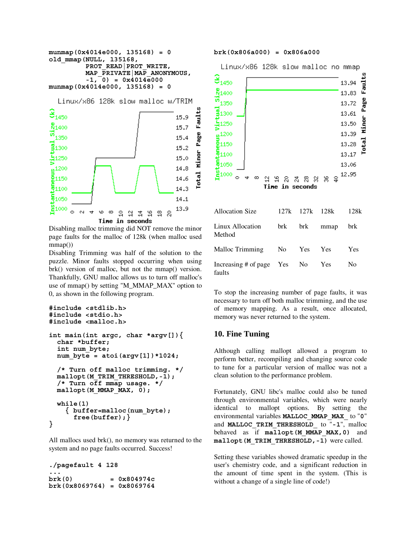```
munmap(0x4014e000, 135168) = 0 
old_mmap(NULL, 135168, 
          PROT_READ|PROT_WRITE, 
          MAP_PRIVATE|MAP_ANONYMOUS, 
         -1, 0) = 0x4014e^{00}munmap(0x4014e000, 135168) = 0
```


Disabling malloc trimming did NOT remove the minor page faults for the malloc of 128k (when malloc used  $mmap()$ 

Disabling Trimming was half of the solution to the puzzle. Minor faults stopped occurring when using brk() version of malloc, but not the mmap() version. Thankfully, GNU malloc allows us to turn off malloc's use of mmap() by setting "M\_MMAP\_MAX" option to 0, as shown in the following program.

```
#include <stdlib.h> 
#include <stdio.h> 
#include <malloc.h> 
int main(int argc, char *argv[]){ 
   char *buffer; 
   int num_byte; 
   num_byte = atoi(argv[1])*1024; 
   /* Turn off malloc trimming. */ 
   mallopt(M_TRIM_THRESHOLD,-1); 
   /* Turn off mmap usage. */ 
   mallopt(M_MMAP_MAX, 0); 
   while(1) 
     { buffer=malloc(num_byte); 
       free(buffer);} 
}
```
All mallocs used brk(), no memory was returned to the system and no page faults occurred. Success!

```
./pagefault 4 128 
... 
brk(0) = 0x804974c 
brk(0x8069764) = 0x8069764
```
**brk(0x806a000) = 0x806a000** 



| Aliocation Size                           |            | $12/K$ $12/K$ $120K$ | 120K           |
|-------------------------------------------|------------|----------------------|----------------|
| Linux Allocation<br>Method                |            | brk brk mmap         | brk            |
| Malloc Trimming                           | No Yes Yes |                      | <b>Yes</b>     |
| Increasing # of page Yes No Yes<br>faults |            |                      | N <sub>0</sub> |

To stop the increasing number of page faults, it was necessary to turn off both malloc trimming, and the use of memory mapping. As a result, once allocated, memory was never returned to the system.

# **10. Fine Tuning**

Although calling mallopt allowed a program to perform better, recompiling and changing source code to tune for a particular version of malloc was not a clean solution to the performance problem.

Fortunately, GNU libc's malloc could also be tuned through environmental variables, which were nearly identical to mallopt options. By setting the environmental variables **MALLOC\_MMAP\_MAX\_** to "**0**" and **MALLOC TRIM THRESHOLD** to "-1", malloc behaved as if **mallopt(M\_MMAP\_MAX,0)** and **mallopt(M\_TRIM\_THRESHOLD,-1)** were called.

Setting these variables showed dramatic speedup in the user's chemistry code, and a significant reduction in the amount of time spent in the system. (This is without a change of a single line of code!)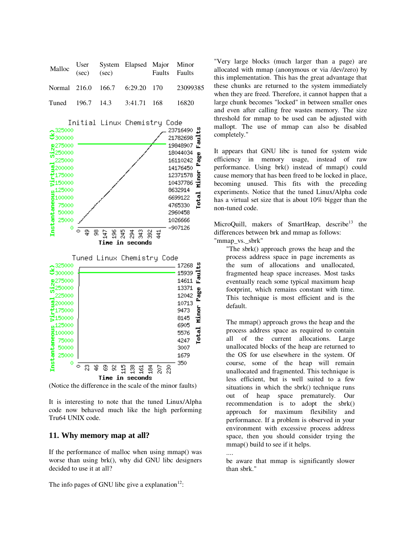|  | Malloc User System Elapsed Major Minor<br>(sec) (sec) Faults Faults |                                         |
|--|---------------------------------------------------------------------|-----------------------------------------|
|  |                                                                     | Normal 216.0 166.7 6:29.20 170 23099385 |
|  | Tuned 196.7 14.3 3:41.71 168 16820                                  |                                         |



(Notice the difference in the scale of the minor faults)

It is interesting to note that the tuned Linux/Alpha code now behaved much like the high performing Tru64 UNIX code.

## **11. Why memory map at all?**

If the performance of malloc when using mmap() was worse than using brk(), why did GNU libc designers decided to use it at all?

The info pages of GNU libc give a explanation $12$ :

"Very large blocks (much larger than a page) are allocated with mmap (anonymous or via /dev/zero) by this implementation. This has the great advantage that these chunks are returned to the system immediately when they are freed. Therefore, it cannot happen that a large chunk becomes "locked" in between smaller ones and even after calling free wastes memory. The size threshold for mmap to be used can be adjusted with mallopt. The use of mmap can also be disabled completely."

It appears that GNU libc is tuned for system wide efficiency in memory usage, instead of raw performance. Using brk() instead of mmap() could cause memory that has been freed to be locked in place, becoming unused. This fits with the preceding experiments. Notice that the tuned Linux/Alpha code has a virtual set size that is about 10% bigger than the non-tuned code.

MicroQuill, makers of SmartHeap, describe<sup>13</sup> the differences between brk and mmap as follows: "mmap\_vs.\_sbrk"

"The sbrk() approach grows the heap and the process address space in page increments as the sum of allocations and unallocated, fragmented heap space increases. Most tasks eventually reach some typical maximum heap footprint, which remains constant with time. This technique is most efficient and is the default.

The mmap() approach grows the heap and the process address space as required to contain all of the current allocations. Large unallocated blocks of the heap are returned to the OS for use elsewhere in the system. Of course, some of the heap will remain unallocated and fragmented. This technique is less efficient, but is well suited to a few situations in which the sbrk() technique runs out of heap space prematurely. Our recommendation is to adopt the sbrk() approach for maximum flexibility and performance. If a problem is observed in your environment with excessive process address space, then you should consider trying the mmap() build to see if it helps.

be aware that mmap is significantly slower than sbrk."

....